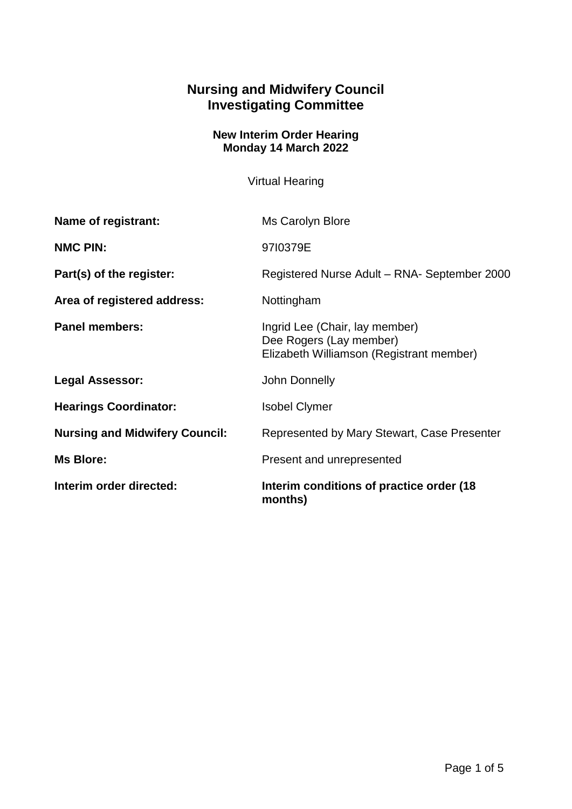## **Nursing and Midwifery Council Investigating Committee**

## **New Interim Order Hearing Monday 14 March 2022**

Virtual Hearing

| Interim order directed:               | Interim conditions of practice order (18)<br>months)                                                  |
|---------------------------------------|-------------------------------------------------------------------------------------------------------|
| <b>Ms Blore:</b>                      | Present and unrepresented                                                                             |
| <b>Nursing and Midwifery Council:</b> | Represented by Mary Stewart, Case Presenter                                                           |
| <b>Hearings Coordinator:</b>          | <b>Isobel Clymer</b>                                                                                  |
| <b>Legal Assessor:</b>                | John Donnelly                                                                                         |
| <b>Panel members:</b>                 | Ingrid Lee (Chair, lay member)<br>Dee Rogers (Lay member)<br>Elizabeth Williamson (Registrant member) |
| Area of registered address:           | Nottingham                                                                                            |
| Part(s) of the register:              | Registered Nurse Adult - RNA- September 2000                                                          |
| <b>NMC PIN:</b>                       | 9710379E                                                                                              |
| Name of registrant:                   | Ms Carolyn Blore                                                                                      |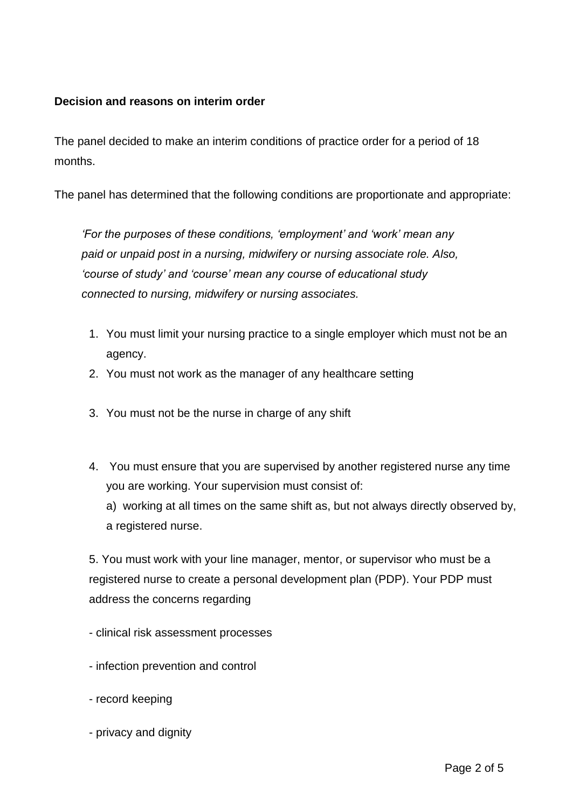## **Decision and reasons on interim order**

The panel decided to make an interim conditions of practice order for a period of 18 months.

The panel has determined that the following conditions are proportionate and appropriate:

*'For the purposes of these conditions, 'employment' and 'work' mean any paid or unpaid post in a nursing, midwifery or nursing associate role. Also, 'course of study' and 'course' mean any course of educational study connected to nursing, midwifery or nursing associates.*

- 1. You must limit your nursing practice to a single employer which must not be an agency.
- 2. You must not work as the manager of any healthcare setting
- 3. You must not be the nurse in charge of any shift
- 4. You must ensure that you are supervised by another registered nurse any time you are working. Your supervision must consist of:

a) working at all times on the same shift as, but not always directly observed by, a registered nurse.

5. You must work with your line manager, mentor, or supervisor who must be a registered nurse to create a personal development plan (PDP). Your PDP must address the concerns regarding

- clinical risk assessment processes
- infection prevention and control
- record keeping
- privacy and dignity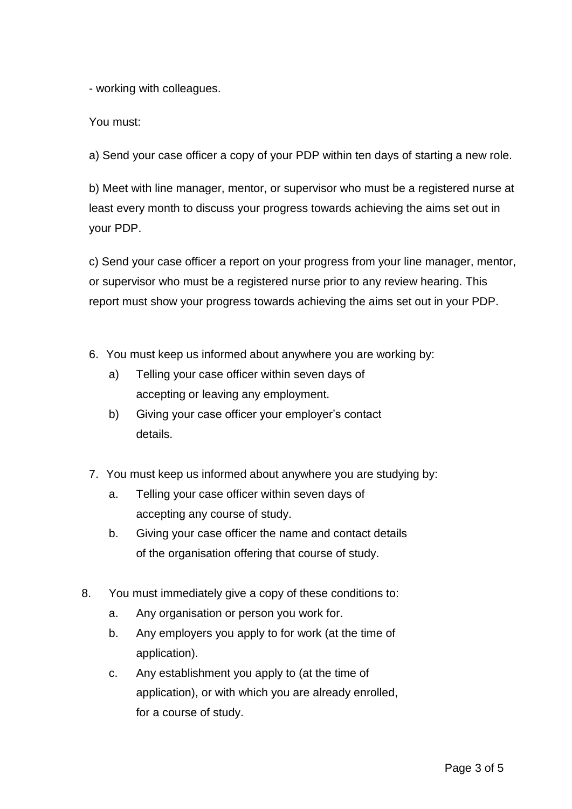- working with colleagues.

You must:

a) Send your case officer a copy of your PDP within ten days of starting a new role.

b) Meet with line manager, mentor, or supervisor who must be a registered nurse at least every month to discuss your progress towards achieving the aims set out in your PDP.

c) Send your case officer a report on your progress from your line manager, mentor, or supervisor who must be a registered nurse prior to any review hearing. This report must show your progress towards achieving the aims set out in your PDP.

- 6. You must keep us informed about anywhere you are working by:
	- a) Telling your case officer within seven days of accepting or leaving any employment.
	- b) Giving your case officer your employer's contact details.
- 7. You must keep us informed about anywhere you are studying by:
	- a. Telling your case officer within seven days of accepting any course of study.
	- b. Giving your case officer the name and contact details of the organisation offering that course of study.
- 8. You must immediately give a copy of these conditions to:
	- a. Any organisation or person you work for.
	- b. Any employers you apply to for work (at the time of application).
	- c. Any establishment you apply to (at the time of application), or with which you are already enrolled, for a course of study.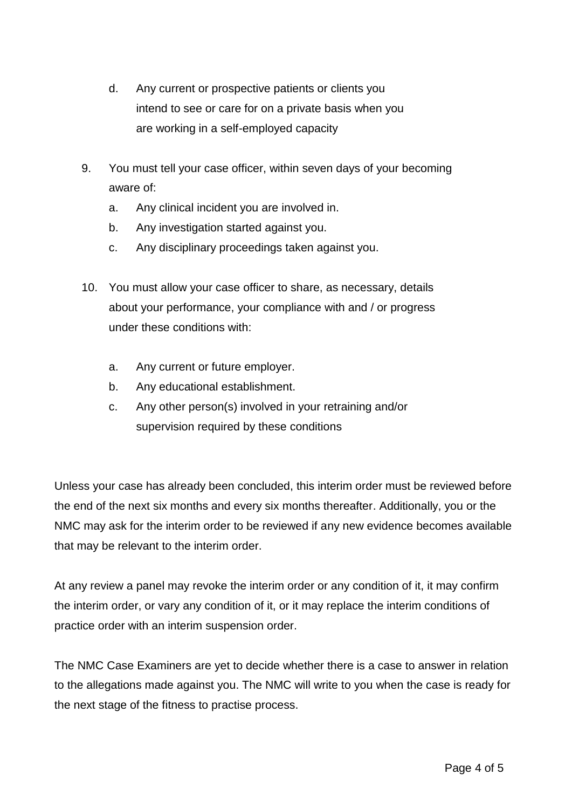- d. Any current or prospective patients or clients you intend to see or care for on a private basis when you are working in a self-employed capacity
- 9. You must tell your case officer, within seven days of your becoming aware of:
	- a. Any clinical incident you are involved in.
	- b. Any investigation started against you.
	- c. Any disciplinary proceedings taken against you.
- 10. You must allow your case officer to share, as necessary, details about your performance, your compliance with and / or progress under these conditions with:
	- a. Any current or future employer.
	- b. Any educational establishment.
	- c. Any other person(s) involved in your retraining and/or supervision required by these conditions

Unless your case has already been concluded, this interim order must be reviewed before the end of the next six months and every six months thereafter. Additionally, you or the NMC may ask for the interim order to be reviewed if any new evidence becomes available that may be relevant to the interim order.

At any review a panel may revoke the interim order or any condition of it, it may confirm the interim order, or vary any condition of it, or it may replace the interim conditions of practice order with an interim suspension order.

The NMC Case Examiners are yet to decide whether there is a case to answer in relation to the allegations made against you. The NMC will write to you when the case is ready for the next stage of the fitness to practise process.